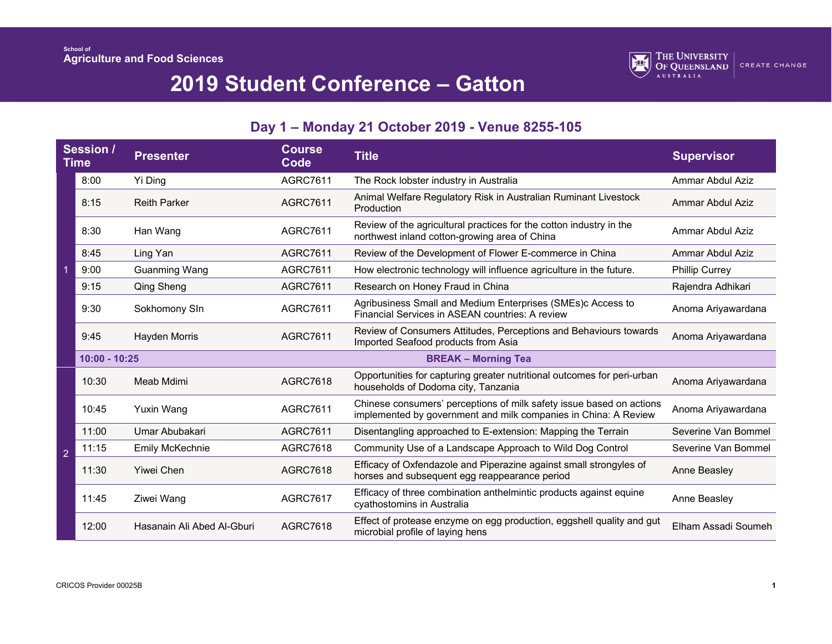

### **Day 1 – Monday 21 October 2019 - Venue 8255-105**

| Session /<br><b>Time</b> |               | <b>Presenter</b>           | <b>Course</b><br>Code | <b>Title</b>                                                                                                                            | <b>Supervisor</b>     |
|--------------------------|---------------|----------------------------|-----------------------|-----------------------------------------------------------------------------------------------------------------------------------------|-----------------------|
|                          | 8:00          | Yi Ding                    | AGRC7611              | The Rock lobster industry in Australia                                                                                                  | Ammar Abdul Aziz      |
|                          | 8:15          | <b>Reith Parker</b>        | AGRC7611              | Animal Welfare Regulatory Risk in Australian Ruminant Livestock<br>Production                                                           | Ammar Abdul Aziz      |
|                          | 8:30          | Han Wang                   | <b>AGRC7611</b>       | Review of the agricultural practices for the cotton industry in the<br>northwest inland cotton-growing area of China                    | Ammar Abdul Aziz      |
|                          | 8:45          | Ling Yan                   | <b>AGRC7611</b>       | Review of the Development of Flower E-commerce in China                                                                                 | Ammar Abdul Aziz      |
|                          | 9:00          | <b>Guanming Wang</b>       | <b>AGRC7611</b>       | How electronic technology will influence agriculture in the future.                                                                     | <b>Phillip Currey</b> |
|                          | 9:15          | Qing Sheng                 | <b>AGRC7611</b>       | Research on Honey Fraud in China                                                                                                        | Rajendra Adhikari     |
|                          | 9:30          | Sokhomony SIn              | <b>AGRC7611</b>       | Agribusiness Small and Medium Enterprises (SMEs)c Access to<br>Financial Services in ASEAN countries: A review                          | Anoma Ariyawardana    |
|                          | 9:45          | <b>Hayden Morris</b>       | AGRC7611              | Review of Consumers Attitudes, Perceptions and Behaviours towards<br>Imported Seafood products from Asia                                | Anoma Ariyawardana    |
|                          | 10:00 - 10:25 |                            |                       | <b>BREAK - Morning Tea</b>                                                                                                              |                       |
|                          | 10:30         | Meab Mdimi                 | AGRC7618              | Opportunities for capturing greater nutritional outcomes for peri-urban<br>households of Dodoma city, Tanzania                          | Anoma Ariyawardana    |
|                          | 10:45         | <b>Yuxin Wang</b>          | <b>AGRC7611</b>       | Chinese consumers' perceptions of milk safety issue based on actions<br>implemented by government and milk companies in China: A Review | Anoma Ariyawardana    |
|                          | 11:00         | Umar Abubakari             | AGRC7611              | Disentangling approached to E-extension: Mapping the Terrain                                                                            | Severine Van Bommel   |
| $\overline{2}$           | 11:15         | Emily McKechnie            | <b>AGRC7618</b>       | Community Use of a Landscape Approach to Wild Dog Control                                                                               | Severine Van Bommel   |
|                          | 11:30         | <b>Yiwei Chen</b>          | <b>AGRC7618</b>       | Efficacy of Oxfendazole and Piperazine against small strongyles of<br>horses and subsequent egg reappearance period                     | Anne Beasley          |
|                          | 11:45         | Ziwei Wang                 | <b>AGRC7617</b>       | Efficacy of three combination anthelmintic products against equine<br>cyathostomins in Australia                                        | Anne Beasley          |
|                          | 12:00         | Hasanain Ali Abed Al-Gburi | <b>AGRC7618</b>       | Effect of protease enzyme on egg production, eggshell quality and gut<br>microbial profile of laying hens                               | Elham Assadi Soumeh   |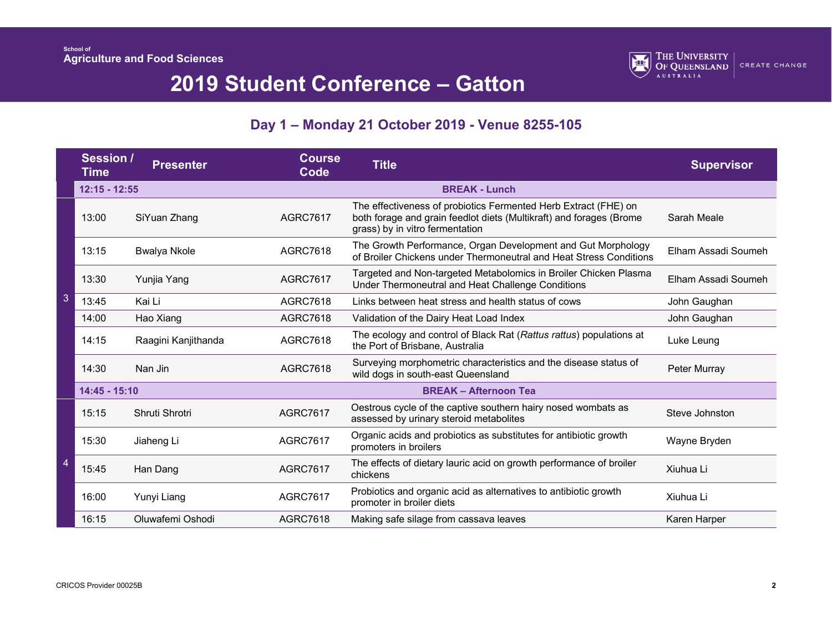

### **Day 1 – Monday 21 October 2019 - Venue 8255-105**

|   | Session /<br><b>Time</b> | <b>Presenter</b>    | <b>Course</b><br>Code | <b>Title</b>                                                                                                                                                              | <b>Supervisor</b>   |
|---|--------------------------|---------------------|-----------------------|---------------------------------------------------------------------------------------------------------------------------------------------------------------------------|---------------------|
|   | $12:15 - 12:55$          |                     |                       | <b>BREAK - Lunch</b>                                                                                                                                                      |                     |
|   | 13:00                    | SiYuan Zhang        | AGRC7617              | The effectiveness of probiotics Fermented Herb Extract (FHE) on<br>both forage and grain feedlot diets (Multikraft) and forages (Brome<br>grass) by in vitro fermentation | Sarah Meale         |
|   | 13:15                    | <b>Bwalya Nkole</b> | AGRC7618              | The Growth Performance, Organ Development and Gut Morphology<br>of Broiler Chickens under Thermoneutral and Heat Stress Conditions                                        | Elham Assadi Soumeh |
|   | 13:30                    | Yunjia Yang         | <b>AGRC7617</b>       | Targeted and Non-targeted Metabolomics in Broiler Chicken Plasma<br>Under Thermoneutral and Heat Challenge Conditions                                                     | Elham Assadi Soumeh |
| 3 | 13:45                    | Kai Li              | <b>AGRC7618</b>       | Links between heat stress and health status of cows                                                                                                                       | John Gaughan        |
|   | 14:00                    | Hao Xiang           | <b>AGRC7618</b>       | Validation of the Dairy Heat Load Index                                                                                                                                   | John Gaughan        |
|   | 14:15                    | Raagini Kanjithanda | <b>AGRC7618</b>       | The ecology and control of Black Rat (Rattus rattus) populations at<br>the Port of Brisbane, Australia                                                                    | Luke Leung          |
|   | 14:30                    | Nan Jin             | <b>AGRC7618</b>       | Surveying morphometric characteristics and the disease status of<br>wild dogs in south-east Queensland                                                                    | Peter Murray        |
|   | 14:45 - 15:10            |                     |                       | <b>BREAK - Afternoon Tea</b>                                                                                                                                              |                     |
|   | 15:15                    | Shruti Shrotri      | <b>AGRC7617</b>       | Oestrous cycle of the captive southern hairy nosed wombats as<br>assessed by urinary steroid metabolites                                                                  | Steve Johnston      |
| 4 | 15:30                    | Jiaheng Li          | <b>AGRC7617</b>       | Organic acids and probiotics as substitutes for antibiotic growth<br>promoters in broilers                                                                                | Wayne Bryden        |
|   | 15:45                    | Han Dang            | <b>AGRC7617</b>       | The effects of dietary lauric acid on growth performance of broiler<br>chickens                                                                                           | Xiuhua Li           |
|   | 16:00                    | Yunyi Liang         | <b>AGRC7617</b>       | Probiotics and organic acid as alternatives to antibiotic growth<br>promoter in broiler diets                                                                             | Xiuhua Li           |
|   | 16:15                    | Oluwafemi Oshodi    | <b>AGRC7618</b>       | Making safe silage from cassava leaves                                                                                                                                    | Karen Harper        |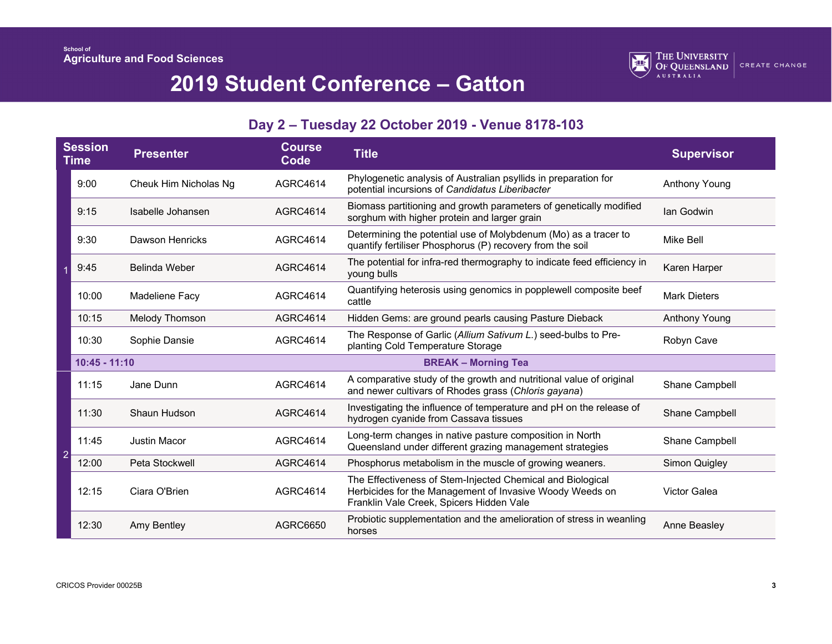

### **Day 2 – Tuesday 22 October 2019 - Venue 8178-103**

| <b>Session</b><br><b>Time</b> | <b>Presenter</b>      | <b>Course</b><br>Code | <b>Title</b>                                                                                                                                                       | <b>Supervisor</b>    |
|-------------------------------|-----------------------|-----------------------|--------------------------------------------------------------------------------------------------------------------------------------------------------------------|----------------------|
| 9:00                          | Cheuk Him Nicholas Ng | <b>AGRC4614</b>       | Phylogenetic analysis of Australian psyllids in preparation for<br>potential incursions of Candidatus Liberibacter                                                 | <b>Anthony Young</b> |
| 9:15                          | Isabelle Johansen     | <b>AGRC4614</b>       | Biomass partitioning and growth parameters of genetically modified<br>sorghum with higher protein and larger grain                                                 | Ian Godwin           |
| 9:30                          | Dawson Henricks       | AGRC4614              | Determining the potential use of Molybdenum (Mo) as a tracer to<br>quantify fertiliser Phosphorus (P) recovery from the soil                                       | Mike Bell            |
| 9:45                          | Belinda Weber         | <b>AGRC4614</b>       | The potential for infra-red thermography to indicate feed efficiency in<br>young bulls                                                                             | Karen Harper         |
| 10:00                         | Madeliene Facy        | AGRC4614              | Quantifying heterosis using genomics in popplewell composite beef<br>cattle                                                                                        | <b>Mark Dieters</b>  |
| 10:15                         | Melody Thomson        | AGRC4614              | Hidden Gems: are ground pearls causing Pasture Dieback                                                                                                             | <b>Anthony Young</b> |
| 10:30                         | Sophie Dansie         | <b>AGRC4614</b>       | The Response of Garlic (Allium Sativum L.) seed-bulbs to Pre-<br>planting Cold Temperature Storage                                                                 | Robyn Cave           |
| $10:45 - 11:10$               |                       |                       | <b>BREAK - Morning Tea</b>                                                                                                                                         |                      |
| 11:15                         | Jane Dunn             | <b>AGRC4614</b>       | A comparative study of the growth and nutritional value of original<br>and newer cultivars of Rhodes grass (Chloris gayana)                                        | Shane Campbell       |
| 11:30                         | Shaun Hudson          | <b>AGRC4614</b>       | Investigating the influence of temperature and pH on the release of<br>hydrogen cyanide from Cassava tissues                                                       | Shane Campbell       |
| 11:45                         | Justin Macor          | <b>AGRC4614</b>       | Long-term changes in native pasture composition in North<br>Queensland under different grazing management strategies                                               | Shane Campbell       |
| 12:00                         | Peta Stockwell        | AGRC4614              | Phosphorus metabolism in the muscle of growing weaners.                                                                                                            | Simon Quigley        |
| 12:15                         | Ciara O'Brien         | AGRC4614              | The Effectiveness of Stem-Injected Chemical and Biological<br>Herbicides for the Management of Invasive Woody Weeds on<br>Franklin Vale Creek, Spicers Hidden Vale | Victor Galea         |
| 12:30                         | Amy Bentley           | AGRC6650              | Probiotic supplementation and the amelioration of stress in weanling<br>horses                                                                                     | Anne Beasley         |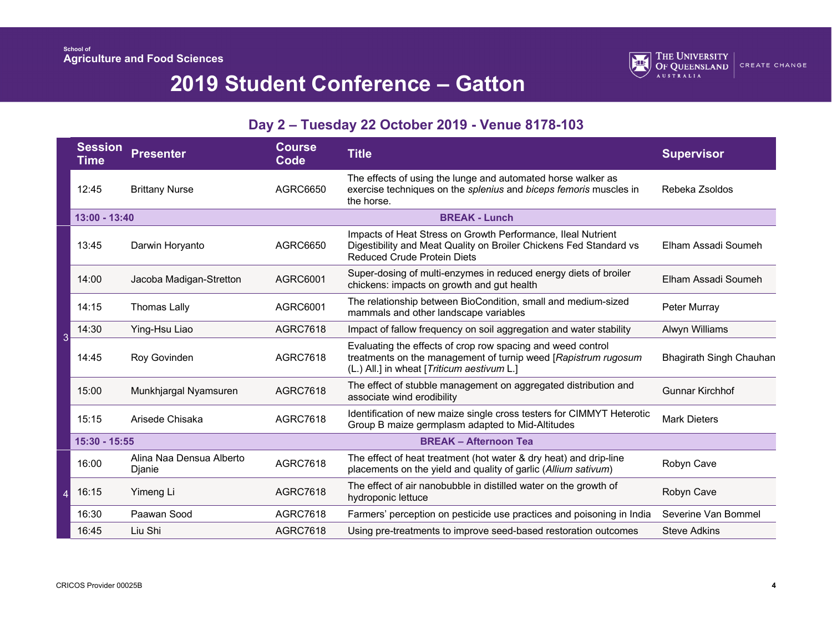

### **Day 2 – Tuesday 22 October 2019 - Venue 8178-103**

|   | <b>Session</b><br>Time | <b>Presenter</b>                   | <b>Course</b><br>Code | <b>Title</b>                                                                                                                                                                | <b>Supervisor</b>       |
|---|------------------------|------------------------------------|-----------------------|-----------------------------------------------------------------------------------------------------------------------------------------------------------------------------|-------------------------|
|   | 12:45                  | <b>Brittany Nurse</b>              | AGRC6650              | The effects of using the lunge and automated horse walker as<br>exercise techniques on the splenius and biceps femoris muscles in<br>the horse.                             | Rebeka Zsoldos          |
|   | $13:00 - 13:40$        |                                    |                       | <b>BREAK - Lunch</b>                                                                                                                                                        |                         |
|   | 13:45                  | Darwin Horyanto                    | <b>AGRC6650</b>       | Impacts of Heat Stress on Growth Performance, Ileal Nutrient<br>Digestibility and Meat Quality on Broiler Chickens Fed Standard vs<br><b>Reduced Crude Protein Diets</b>    | Elham Assadi Soumeh     |
|   | 14:00                  | Jacoba Madigan-Stretton            | <b>AGRC6001</b>       | Super-dosing of multi-enzymes in reduced energy diets of broiler<br>chickens: impacts on growth and gut health                                                              | Elham Assadi Soumeh     |
|   | 14:15                  | <b>Thomas Lally</b>                | AGRC6001              | The relationship between BioCondition, small and medium-sized<br>mammals and other landscape variables                                                                      | Peter Murray            |
| 3 | 14:30                  | Ying-Hsu Liao                      | <b>AGRC7618</b>       | Impact of fallow frequency on soil aggregation and water stability                                                                                                          | Alwyn Williams          |
|   | 14:45                  | Roy Govinden                       | AGRC7618              | Evaluating the effects of crop row spacing and weed control<br>treatments on the management of turnip weed [Rapistrum rugosum<br>(L.) All.] in wheat [Triticum aestivum L.] | Bhagirath Singh Chauhan |
|   | 15:00                  | Munkhjargal Nyamsuren              | <b>AGRC7618</b>       | The effect of stubble management on aggregated distribution and<br>associate wind erodibility                                                                               | <b>Gunnar Kirchhof</b>  |
|   | 15:15                  | Arisede Chisaka                    | <b>AGRC7618</b>       | Identification of new maize single cross testers for CIMMYT Heterotic<br>Group B maize germplasm adapted to Mid-Altitudes                                                   | <b>Mark Dieters</b>     |
|   | $15:30 - 15:55$        |                                    |                       | <b>BREAK - Afternoon Tea</b>                                                                                                                                                |                         |
|   | 16:00                  | Alina Naa Densua Alberto<br>Djanie | <b>AGRC7618</b>       | The effect of heat treatment (hot water & dry heat) and drip-line<br>placements on the yield and quality of garlic (Allium sativum)                                         | Robyn Cave              |
|   | 16:15                  | Yimeng Li                          | <b>AGRC7618</b>       | The effect of air nanobubble in distilled water on the growth of<br>hydroponic lettuce                                                                                      | Robyn Cave              |
|   | 16:30                  | Paawan Sood                        | <b>AGRC7618</b>       | Farmers' perception on pesticide use practices and poisoning in India                                                                                                       | Severine Van Bommel     |
|   | 16:45                  | Liu Shi                            | <b>AGRC7618</b>       | Using pre-treatments to improve seed-based restoration outcomes                                                                                                             | <b>Steve Adkins</b>     |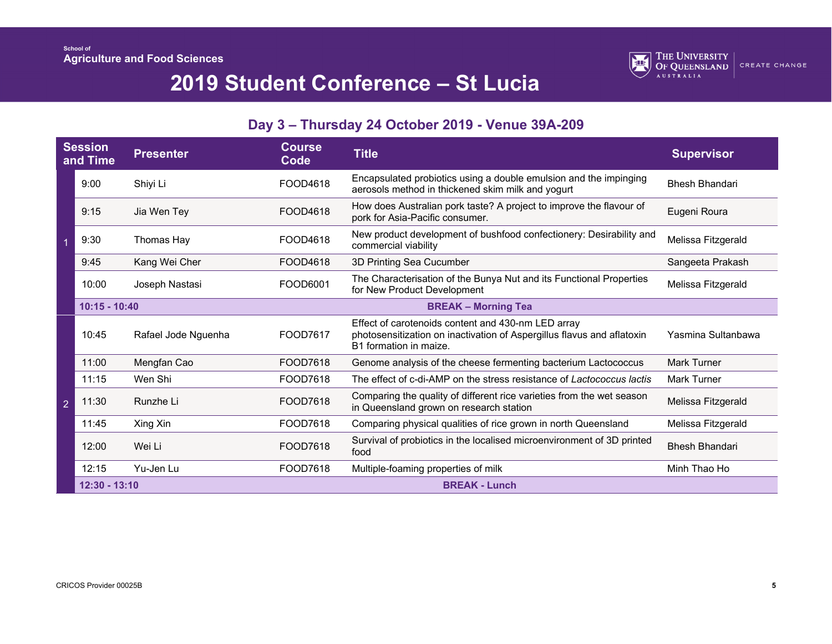

### **Day 3 – Thursday 24 October 2019 - Venue 39A-209**

|   | <b>Session</b><br>and Time | <b>Presenter</b>    | <b>Course</b><br>Code | <b>Title</b>                                                                                                                                           | <b>Supervisor</b>     |
|---|----------------------------|---------------------|-----------------------|--------------------------------------------------------------------------------------------------------------------------------------------------------|-----------------------|
|   | 9:00                       | Shiyi Li            | FOOD4618              | Encapsulated probiotics using a double emulsion and the impinging<br>aerosols method in thickened skim milk and yogurt                                 | <b>Bhesh Bhandari</b> |
|   | 9:15                       | Jia Wen Tey         | FOOD4618              | How does Australian pork taste? A project to improve the flavour of<br>pork for Asia-Pacific consumer.                                                 | Eugeni Roura          |
|   | 9:30                       | Thomas Hay          | FOOD4618              | New product development of bushfood confectionery: Desirability and<br>commercial viability                                                            | Melissa Fitzgerald    |
|   | 9:45                       | Kang Wei Cher       | FOOD4618              | 3D Printing Sea Cucumber                                                                                                                               | Sangeeta Prakash      |
|   | 10:00                      | Joseph Nastasi      | FOOD6001              | The Characterisation of the Bunya Nut and its Functional Properties<br>for New Product Development                                                     | Melissa Fitzgerald    |
|   | 10:15 - 10:40              |                     |                       | <b>BREAK - Morning Tea</b>                                                                                                                             |                       |
|   | 10:45                      | Rafael Jode Nguenha | FOOD7617              | Effect of carotenoids content and 430-nm LED array<br>photosensitization on inactivation of Aspergillus flavus and aflatoxin<br>B1 formation in maize. | Yasmina Sultanbawa    |
|   | 11:00                      | Mengfan Cao         | FOOD7618              | Genome analysis of the cheese fermenting bacterium Lactococcus                                                                                         | <b>Mark Turner</b>    |
|   | 11:15                      | Wen Shi             | FOOD7618              | The effect of c-di-AMP on the stress resistance of Lactococcus lactis                                                                                  | <b>Mark Turner</b>    |
| 2 | 11:30                      | Runzhe Li           | FOOD7618              | Comparing the quality of different rice varieties from the wet season<br>in Queensland grown on research station                                       | Melissa Fitzgerald    |
|   | 11:45                      | Xing Xin            | FOOD7618              | Comparing physical qualities of rice grown in north Queensland                                                                                         | Melissa Fitzgerald    |
|   | 12:00                      | Wei Li              | FOOD7618              | Survival of probiotics in the localised microenvironment of 3D printed<br>food                                                                         | <b>Bhesh Bhandari</b> |
|   | 12:15                      | Yu-Jen Lu           | FOOD7618              | Multiple-foaming properties of milk                                                                                                                    | Minh Thao Ho          |
|   | 12:30 - 13:10              |                     |                       | <b>BREAK - Lunch</b>                                                                                                                                   |                       |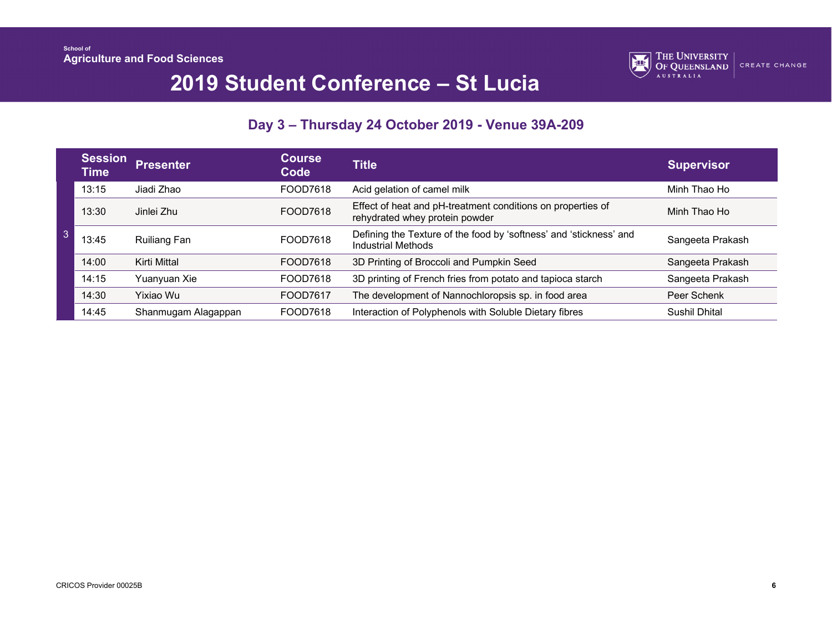

### **Day 3 – Thursday 24 October 2019 - Venue 39A-209**

|   | <b>Session</b><br>Time | <b>Presenter</b>    | <b>Course</b><br>Code | <b>Title</b>                                                                                    | <b>Supervisor</b>    |
|---|------------------------|---------------------|-----------------------|-------------------------------------------------------------------------------------------------|----------------------|
|   | 13:15                  | Jiadi Zhao          | FOOD7618              | Acid gelation of camel milk                                                                     | Minh Thao Ho         |
|   | 13:30                  | Jinlei Zhu          | FOOD7618              | Effect of heat and pH-treatment conditions on properties of<br>rehydrated whey protein powder   | Minh Thao Ho         |
| 3 | 13:45                  | <b>Ruiliang Fan</b> | FOOD7618              | Defining the Texture of the food by 'softness' and 'stickness' and<br><b>Industrial Methods</b> | Sangeeta Prakash     |
|   | 14:00                  | Kirti Mittal        | FOOD7618              | 3D Printing of Broccoli and Pumpkin Seed                                                        | Sangeeta Prakash     |
|   | 14:15                  | Yuanyuan Xie        | FOOD7618              | 3D printing of French fries from potato and tapioca starch                                      | Sangeeta Prakash     |
|   | 14:30                  | Yixiao Wu           | FOOD7617              | The development of Nannochloropsis sp. in food area                                             | Peer Schenk          |
|   | 14:45                  | Shanmugam Alagappan | FOOD7618              | Interaction of Polyphenols with Soluble Dietary fibres                                          | <b>Sushil Dhital</b> |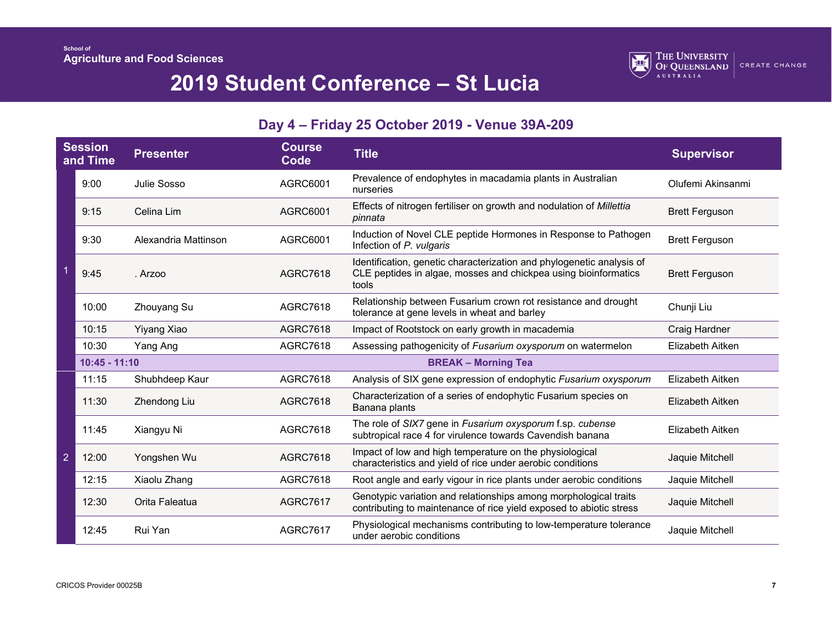

### **Day 4 – Friday 25 October 2019 - Venue 39A-209**

|                | <b>Session</b><br>and Time | <b>Presenter</b>     | <b>Course</b><br>Code | <b>Title</b>                                                                                                                                      | <b>Supervisor</b>     |
|----------------|----------------------------|----------------------|-----------------------|---------------------------------------------------------------------------------------------------------------------------------------------------|-----------------------|
|                | 9:00                       | Julie Sosso          | AGRC6001              | Prevalence of endophytes in macadamia plants in Australian<br>nurseries                                                                           | Olufemi Akinsanmi     |
|                | 9:15                       | Celina Lim           | AGRC6001              | Effects of nitrogen fertiliser on growth and nodulation of Millettia<br>pinnata                                                                   | <b>Brett Ferguson</b> |
|                | 9:30                       | Alexandria Mattinson | AGRC6001              | Induction of Novel CLE peptide Hormones in Response to Pathogen<br>Infection of P. vulgaris                                                       | <b>Brett Ferguson</b> |
|                | 9:45                       | . Arzoo              | AGRC7618              | Identification, genetic characterization and phylogenetic analysis of<br>CLE peptides in algae, mosses and chickpea using bioinformatics<br>tools | <b>Brett Ferguson</b> |
|                | 10:00                      | <b>Zhouyang Su</b>   | <b>AGRC7618</b>       | Relationship between Fusarium crown rot resistance and drought<br>tolerance at gene levels in wheat and barley                                    | Chunji Liu            |
|                | 10:15                      | Yiyang Xiao          | AGRC7618              | Impact of Rootstock on early growth in macademia                                                                                                  | Craig Hardner         |
|                | 10:30                      | Yang Ang             | <b>AGRC7618</b>       | Assessing pathogenicity of Fusarium oxysporum on watermelon                                                                                       | Elizabeth Aitken      |
|                | $10:45 - 11:10$            |                      |                       | <b>BREAK - Morning Tea</b>                                                                                                                        |                       |
|                | 11:15                      | Shubhdeep Kaur       | AGRC7618              | Analysis of SIX gene expression of endophytic Fusarium oxysporum                                                                                  | Elizabeth Aitken      |
|                | 11:30                      | Zhendong Liu         | <b>AGRC7618</b>       | Characterization of a series of endophytic Fusarium species on<br>Banana plants                                                                   | Elizabeth Aitken      |
|                | 11:45                      | Xiangyu Ni           | <b>AGRC7618</b>       | The role of SIX7 gene in Fusarium oxysporum f.sp. cubense<br>subtropical race 4 for virulence towards Cavendish banana                            | Elizabeth Aitken      |
| $\overline{2}$ | 12:00                      | Yongshen Wu          | <b>AGRC7618</b>       | Impact of low and high temperature on the physiological<br>characteristics and yield of rice under aerobic conditions                             | Jaquie Mitchell       |
|                | 12:15                      | Xiaolu Zhang         | <b>AGRC7618</b>       | Root angle and early vigour in rice plants under aerobic conditions                                                                               | Jaquie Mitchell       |
|                | 12:30                      | Orita Faleatua       | <b>AGRC7617</b>       | Genotypic variation and relationships among morphological traits<br>contributing to maintenance of rice yield exposed to abiotic stress           | Jaquie Mitchell       |
|                | 12:45                      | Rui Yan              | <b>AGRC7617</b>       | Physiological mechanisms contributing to low-temperature tolerance<br>under aerobic conditions                                                    | Jaquie Mitchell       |